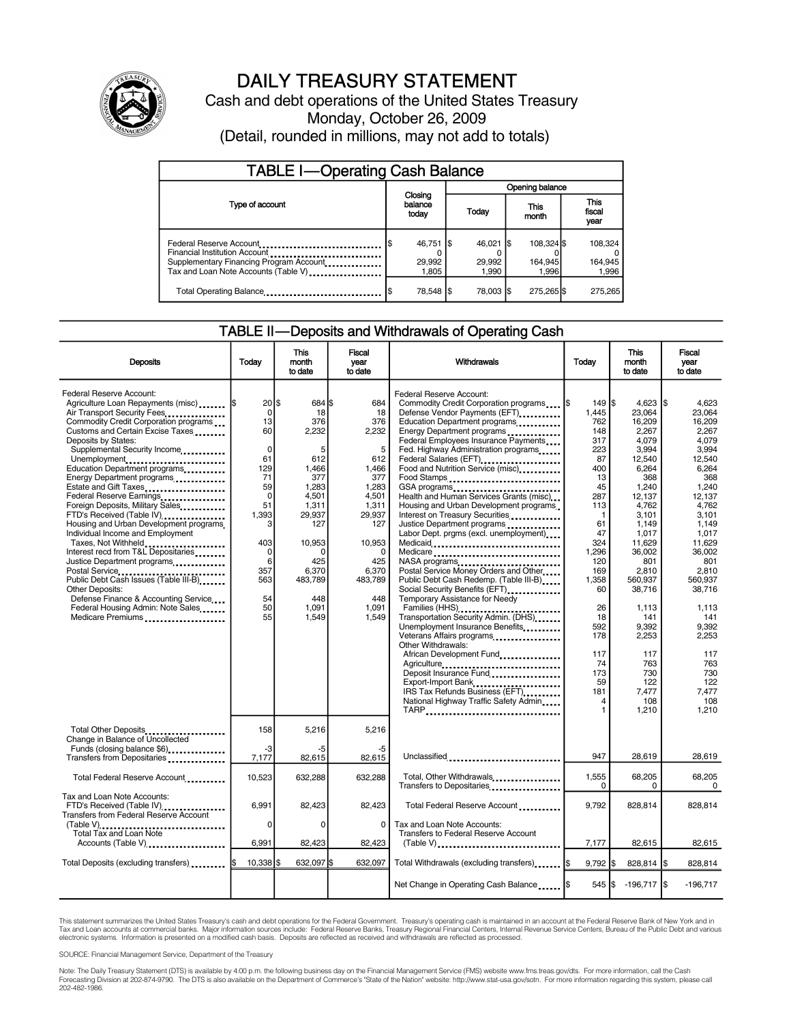

## DAILY TREASURY STATEMENT

Cash and debt operations of the United States Treasury Monday, October 26, 2009 (Detail, rounded in millions, may not add to totals)

| <b>TABLE I-Operating Cash Balance</b>                                                                                                       |                                |                               |                                |                             |  |  |  |  |
|---------------------------------------------------------------------------------------------------------------------------------------------|--------------------------------|-------------------------------|--------------------------------|-----------------------------|--|--|--|--|
|                                                                                                                                             |                                | Opening balance               |                                |                             |  |  |  |  |
| Type of account                                                                                                                             | Closing<br>balance<br>today    | <b>Today</b>                  | This<br>month                  | This<br>fiscal<br>year      |  |  |  |  |
| Federal Reserve Account<br>Financial Institution Account<br>Supplementary Financing Program Account<br>Tax and Loan Note Accounts (Table V) | 46,751   \$<br>29,992<br>1.805 | $46.021$ S<br>29.992<br>1,990 | 108.324 \$<br>164,945<br>1.996 | 108.324<br>164,945<br>1,996 |  |  |  |  |
| Total Operating Balance                                                                                                                     | 78,548 \$                      | 78.003 \$                     | 275.265                        | 275.265                     |  |  |  |  |

### TABLE II—Deposits and Withdrawals of Operating Cash

| <b>Deposits</b>                                                                                                                                                                                                                                                                                                                                                                                                                                                                                                                                                                                                                                                                                                                                                                                        | Today                                                                                                                                                              | This<br>month<br>to date                                                                                                                                                | Fiscal<br>vear<br>to date                                                                                                                                            | Withdrawals                                                                                                                                                                                                                                                                                                                                                                                                                                                                                                                                                                                                                                                                                                                                                                                                                                                                                                                                                                                                                                                    | Todav                                                                                                                                                                                                           | <b>This</b><br>month<br>to date                                                                                                                                                                                                                                                       | Fiscal<br>vear<br>to date                                                                                                                                                                                                                                                                    |
|--------------------------------------------------------------------------------------------------------------------------------------------------------------------------------------------------------------------------------------------------------------------------------------------------------------------------------------------------------------------------------------------------------------------------------------------------------------------------------------------------------------------------------------------------------------------------------------------------------------------------------------------------------------------------------------------------------------------------------------------------------------------------------------------------------|--------------------------------------------------------------------------------------------------------------------------------------------------------------------|-------------------------------------------------------------------------------------------------------------------------------------------------------------------------|----------------------------------------------------------------------------------------------------------------------------------------------------------------------|----------------------------------------------------------------------------------------------------------------------------------------------------------------------------------------------------------------------------------------------------------------------------------------------------------------------------------------------------------------------------------------------------------------------------------------------------------------------------------------------------------------------------------------------------------------------------------------------------------------------------------------------------------------------------------------------------------------------------------------------------------------------------------------------------------------------------------------------------------------------------------------------------------------------------------------------------------------------------------------------------------------------------------------------------------------|-----------------------------------------------------------------------------------------------------------------------------------------------------------------------------------------------------------------|---------------------------------------------------------------------------------------------------------------------------------------------------------------------------------------------------------------------------------------------------------------------------------------|----------------------------------------------------------------------------------------------------------------------------------------------------------------------------------------------------------------------------------------------------------------------------------------------|
| Federal Reserve Account:<br>Agriculture Loan Repayments (misc)  \$<br>Air Transport Security Fees<br>Commodity Credit Corporation programs<br>Customs and Certain Excise Taxes<br>Deposits by States:<br>Supplemental Security Income<br>Unemployment<br>Education Department programs<br>Energy Department programs<br>Estate and Gift Taxes<br>Federal Reserve Earnings<br>Foreign Deposits, Military Sales<br>FTD's Received (Table IV)<br>Housing and Urban Development programs.<br>Individual Income and Employment<br>Taxes, Not Withheld<br>Interest recd from T&L Depositaries<br>Justice Department programs<br>Postal Service<br>Public Debt Cash Issues (Table III-B)<br>Other Deposits:<br>Defense Finance & Accounting Service<br>Federal Housing Admin: Note Sales<br>Medicare Premiums | $20$ \$<br>$\Omega$<br>13<br>60<br>$\mathbf 0$<br>61<br>129<br>71<br>59<br>$\mathbf 0$<br>51<br>1.393<br>3<br>403<br>$\Omega$<br>6<br>357<br>563<br>54<br>50<br>55 | 684 \$<br>18<br>376<br>2,232<br>5<br>612<br>1,466<br>377<br>1,283<br>4,501<br>1,311<br>29.937<br>127<br>10,953<br>∩<br>425<br>6,370<br>483,789<br>448<br>1.091<br>1,549 | 684<br>18<br>376<br>2,232<br>5<br>612<br>1,466<br>377<br>1,283<br>4.501<br>1,311<br>29.937<br>127<br>10,953<br>0<br>425<br>6,370<br>483,789<br>448<br>1,091<br>1,549 | Federal Reserve Account:<br>Commodity Credit Corporation programs<br>Defense Vendor Payments (EFT)<br>Education Department programs<br>Energy Department programs<br>Federal Employees Insurance Payments<br>Fed. Highway Administration programs<br>Federal Salaries (EFT)<br>Food and Nutrition Service (misc)<br>Food Stamps<br>GSA programs<br>Health and Human Services Grants (misc)<br>Housing and Urban Development programs<br>Interest on Treasury Securities<br>Justice Department programs<br>Labor Dept. prgms (excl. unemployment)<br>Medicaid<br>Medicare<br>NASA programs<br>Postal Service Money Orders and Other<br>Public Debt Cash Redemp. (Table III-B)<br>Social Security Benefits (EFT)<br>Temporary Assistance for Needy<br>Transportation Security Admin. (DHS)<br>Unemployment Insurance Benefits<br>Veterans Affairs programs,<br>Other Withdrawals:<br>African Development Fund_<br>Agriculture<br>Deposit Insurance Fund<br>Export-Import Bank<br>IRS Tax Refunds Business (EFT)<br>National Highway Traffic Safety Admin<br>TARP | 149 S<br>1,445<br>762<br>148<br>317<br>223<br>87<br>400<br>13<br>45<br>287<br>113<br>1<br>61<br>47<br>324<br>1.296<br>120<br>169<br>1,358<br>60<br>26<br>18<br>592<br>178<br>117<br>74<br>173<br>59<br>181<br>4 | 4,623<br>23,064<br>16.209<br>2,267<br>4,079<br>3,994<br>12.540<br>6,264<br>368<br>1,240<br>12,137<br>4.762<br>3.101<br>1,149<br>1,017<br>11.629<br>36.002<br>801<br>2,810<br>560.937<br>38,716<br>1,113<br>141<br>9,392<br>2,253<br>117<br>763<br>730<br>122<br>7.477<br>108<br>1,210 | l\$<br>4.623<br>23.064<br>16.209<br>2.267<br>4.079<br>3,994<br>12.540<br>6,264<br>368<br>1,240<br>12.137<br>4.762<br>3.101<br>1,149<br>1.017<br>11.629<br>36.002<br>801<br>2.810<br>560.937<br>38.716<br>1,113<br>141<br>9,392<br>2,253<br>117<br>763<br>730<br>122<br>7.477<br>108<br>1,210 |
| Total Other Deposits<br>Change in Balance of Uncollected<br>Funds (closing balance \$6)                                                                                                                                                                                                                                                                                                                                                                                                                                                                                                                                                                                                                                                                                                                | 158<br>-3                                                                                                                                                          | 5,216<br>-5                                                                                                                                                             | 5,216<br>-5                                                                                                                                                          |                                                                                                                                                                                                                                                                                                                                                                                                                                                                                                                                                                                                                                                                                                                                                                                                                                                                                                                                                                                                                                                                |                                                                                                                                                                                                                 |                                                                                                                                                                                                                                                                                       |                                                                                                                                                                                                                                                                                              |
| Transfers from Depositaries                                                                                                                                                                                                                                                                                                                                                                                                                                                                                                                                                                                                                                                                                                                                                                            | 7,177                                                                                                                                                              | 82,615                                                                                                                                                                  | 82,615                                                                                                                                                               | Unclassified                                                                                                                                                                                                                                                                                                                                                                                                                                                                                                                                                                                                                                                                                                                                                                                                                                                                                                                                                                                                                                                   | 947                                                                                                                                                                                                             | 28,619                                                                                                                                                                                                                                                                                | 28,619                                                                                                                                                                                                                                                                                       |
| Total Federal Reserve Account                                                                                                                                                                                                                                                                                                                                                                                                                                                                                                                                                                                                                                                                                                                                                                          | 10,523                                                                                                                                                             | 632,288                                                                                                                                                                 | 632.288                                                                                                                                                              | Total, Other Withdrawals<br>Transfers to Depositaries                                                                                                                                                                                                                                                                                                                                                                                                                                                                                                                                                                                                                                                                                                                                                                                                                                                                                                                                                                                                          | 1,555<br>0                                                                                                                                                                                                      | 68,205<br>0                                                                                                                                                                                                                                                                           | 68,205<br>0                                                                                                                                                                                                                                                                                  |
| Tax and Loan Note Accounts:<br>FTD's Received (Table IV)<br>Transfers from Federal Reserve Account<br>(Table V)                                                                                                                                                                                                                                                                                                                                                                                                                                                                                                                                                                                                                                                                                        | 6,991<br>0                                                                                                                                                         | 82,423<br>$\Omega$                                                                                                                                                      | 82,423<br>0                                                                                                                                                          | Total Federal Reserve Account<br>Tax and Loan Note Accounts:                                                                                                                                                                                                                                                                                                                                                                                                                                                                                                                                                                                                                                                                                                                                                                                                                                                                                                                                                                                                   | 9,792                                                                                                                                                                                                           | 828,814                                                                                                                                                                                                                                                                               | 828,814                                                                                                                                                                                                                                                                                      |
| Total Tax and Loan Note<br>Accounts (Table V)                                                                                                                                                                                                                                                                                                                                                                                                                                                                                                                                                                                                                                                                                                                                                          | 6,991                                                                                                                                                              | 82,423                                                                                                                                                                  | 82,423                                                                                                                                                               | Transfers to Federal Reserve Account<br>$(Table V)$                                                                                                                                                                                                                                                                                                                                                                                                                                                                                                                                                                                                                                                                                                                                                                                                                                                                                                                                                                                                            | 7,177                                                                                                                                                                                                           | 82,615                                                                                                                                                                                                                                                                                | 82,615                                                                                                                                                                                                                                                                                       |
| Total Deposits (excluding transfers)                                                                                                                                                                                                                                                                                                                                                                                                                                                                                                                                                                                                                                                                                                                                                                   | 10.338 \$                                                                                                                                                          | 632.097 \$                                                                                                                                                              | 632.097                                                                                                                                                              |                                                                                                                                                                                                                                                                                                                                                                                                                                                                                                                                                                                                                                                                                                                                                                                                                                                                                                                                                                                                                                                                | $9,792$ \$                                                                                                                                                                                                      | 828,814   \$                                                                                                                                                                                                                                                                          | 828,814                                                                                                                                                                                                                                                                                      |
|                                                                                                                                                                                                                                                                                                                                                                                                                                                                                                                                                                                                                                                                                                                                                                                                        |                                                                                                                                                                    |                                                                                                                                                                         |                                                                                                                                                                      | Net Change in Operating Cash Balance                                                                                                                                                                                                                                                                                                                                                                                                                                                                                                                                                                                                                                                                                                                                                                                                                                                                                                                                                                                                                           | $545 $ \$                                                                                                                                                                                                       | $-196,717$ \$                                                                                                                                                                                                                                                                         | $-196.717$                                                                                                                                                                                                                                                                                   |

This statement summarizes the United States Treasury's cash and debt operations for the Federal Government. Treasury's operating cash is maintained in an account at the Federal Reserve Bank of New York and in Tax and Loan accounts at commercial banks. Major information sources include: Federal Reserve Banks, Treasury Regional Financial Centers, Internal Revenue Service Centers, Bureau of the Public Debt and various<br>electronic s

SOURCE: Financial Management Service, Department of the Treasury

Note: The Daily Treasury Statement (DTS) is available by 4:00 p.m. the following business day on the Financial Management Service (FMS) website www.fms.treas.gov/dts. For more information, call the Cash<br>Forecasting Divisio 202-482-1986.